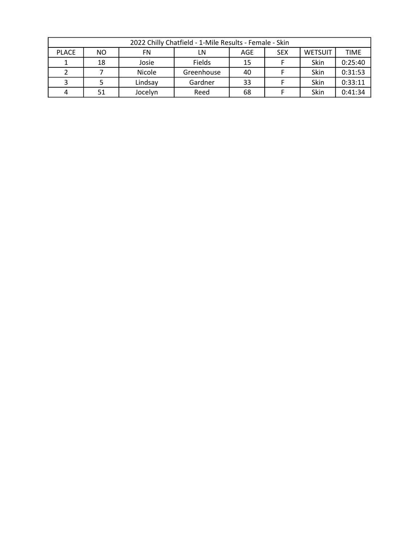| 2022 Chilly Chatfield - 1-Mile Results - Female - Skin |     |                                                                |            |    |  |      |         |  |  |
|--------------------------------------------------------|-----|----------------------------------------------------------------|------------|----|--|------|---------|--|--|
| <b>PLACE</b>                                           | NO. | <b>WETSUIT</b><br><b>TIME</b><br><b>SEX</b><br>FN<br>AGE<br>LN |            |    |  |      |         |  |  |
|                                                        | 18  | Josie                                                          | Fields     | 15 |  | Skin | 0:25:40 |  |  |
|                                                        |     | Nicole                                                         | Greenhouse | 40 |  | Skin | 0:31:53 |  |  |
|                                                        |     | Lindsay                                                        | Gardner    | 33 |  | Skin | 0:33:11 |  |  |
|                                                        | 51  | Jocelyn                                                        | Reed       | 68 |  | Skin | 0:41:34 |  |  |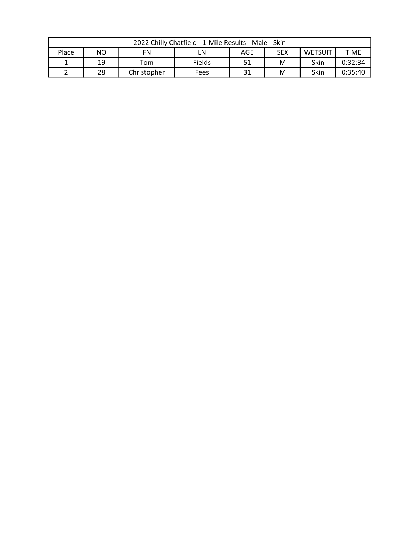| 2022 Chilly Chatfield - 1-Mile Results - Male - Skin                  |    |             |        |    |   |      |             |  |
|-----------------------------------------------------------------------|----|-------------|--------|----|---|------|-------------|--|
| <b>NO</b><br>Place<br><b>SEX</b><br><b>WETSUIT</b><br>AGE<br>FN<br>LN |    |             |        |    |   |      | <b>TIME</b> |  |
|                                                                       | 19 | Tom         | Fields | 51 | M | Skin | 0:32:34     |  |
|                                                                       | 28 | Christopher | Fees   | 31 | M | Skin | 0:35:40     |  |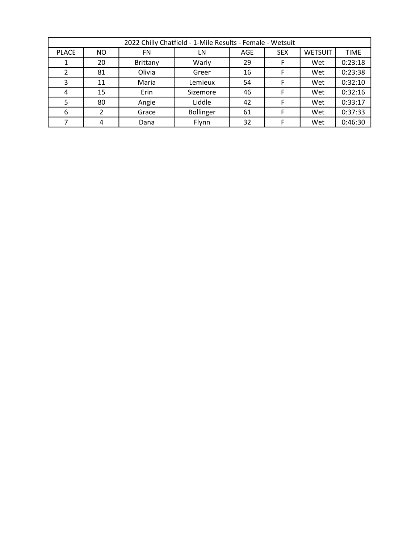| 2022 Chilly Chatfield - 1-Mile Results - Female - Wetsuit |           |          |                  |     |            |                |             |  |  |
|-----------------------------------------------------------|-----------|----------|------------------|-----|------------|----------------|-------------|--|--|
| <b>PLACE</b>                                              | <b>NO</b> | FN.      | LN               | AGE | <b>SEX</b> | <b>WETSUIT</b> | <b>TIME</b> |  |  |
|                                                           | 20        | Brittany | Warly            | 29  | F          | Wet            | 0:23:18     |  |  |
|                                                           | 81        | Olivia   | Greer            | 16  |            | Wet            | 0:23:38     |  |  |
| 3                                                         | 11        | Maria    | Lemieux          | 54  |            | Wet            | 0:32:10     |  |  |
| 4                                                         | 15        | Erin     | Sizemore         | 46  |            | Wet            | 0:32:16     |  |  |
| 5                                                         | 80        | Angie    | Liddle           | 42  |            | Wet            | 0:33:17     |  |  |
| 6                                                         |           | Grace    | <b>Bollinger</b> | 61  |            | Wet            | 0:37:33     |  |  |
|                                                           |           | Dana     | Flynn            | 32  |            | Wet            | 0:46:30     |  |  |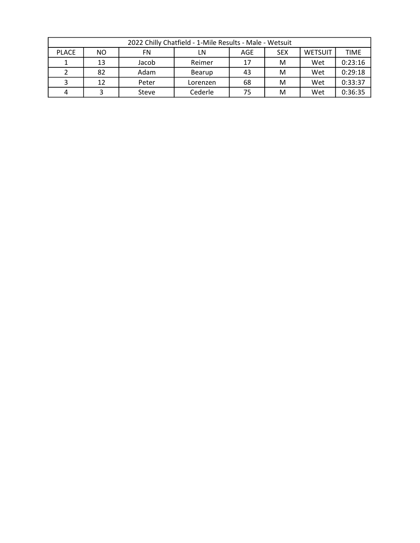| 2022 Chilly Chatfield - 1-Mile Results - Male - Wetsuit |           |       |          |     |            |                               |         |  |  |
|---------------------------------------------------------|-----------|-------|----------|-----|------------|-------------------------------|---------|--|--|
| <b>PLACE</b>                                            | <b>NO</b> | FN    | LN       | AGE | <b>SEX</b> | <b>TIME</b><br><b>WETSUIT</b> |         |  |  |
|                                                         | 13        | Jacob | Reimer   | 17  | M          | Wet                           | 0:23:16 |  |  |
|                                                         | 82        | Adam  | Bearup   | 43  | м          | Wet                           | 0:29:18 |  |  |
|                                                         | 12        | Peter | Lorenzen | 68  | M          | Wet                           | 0:33:37 |  |  |
|                                                         |           | Steve | Cederle  | 75  | M          | Wet                           | 0:36:35 |  |  |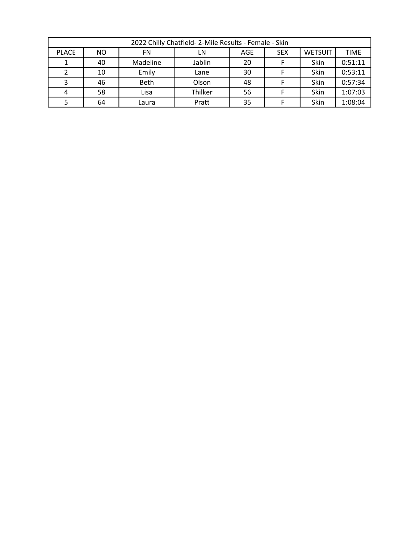| 2022 Chilly Chatfield- 2-Mile Results - Female - Skin |     |             |         |     |            |                |             |  |
|-------------------------------------------------------|-----|-------------|---------|-----|------------|----------------|-------------|--|
| <b>PLACE</b>                                          | NO. | FN          | LN      | AGE | <b>SEX</b> | <b>WETSUIT</b> | <b>TIME</b> |  |
|                                                       | 40  | Madeline    | Jablin  | 20  |            | Skin           | 0:51:11     |  |
|                                                       | 10  | Emily       | Lane    | 30  |            | Skin           | 0:53:11     |  |
|                                                       | 46  | <b>Beth</b> | Olson   | 48  |            | Skin           | 0:57:34     |  |
|                                                       | 58  | Lisa        | Thilker | 56  |            | Skin           | 1:07:03     |  |
|                                                       | 64  | Laura       | Pratt   | 35  |            | Skin           | 1:08:04     |  |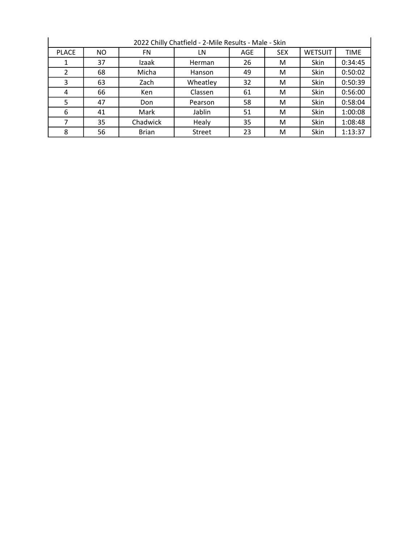| 2022 Chilly Chatfield - 2-Mile Results - Male - Skin |     |              |          |     |            |                |             |  |
|------------------------------------------------------|-----|--------------|----------|-----|------------|----------------|-------------|--|
| <b>PLACE</b>                                         | NO. | FN           | LN       | AGE | <b>SEX</b> | <b>WETSUIT</b> | <b>TIME</b> |  |
|                                                      | 37  | Izaak        | Herman   | 26  | М          | Skin           | 0:34:45     |  |
| 2                                                    | 68  | Micha        | Hanson   | 49  | М          | Skin           | 0:50:02     |  |
| 3                                                    | 63  | Zach         | Wheatley | 32  | М          | Skin           | 0:50:39     |  |
| 4                                                    | 66  | <b>Ken</b>   | Classen  | 61  | М          | Skin           | 0:56:00     |  |
| 5                                                    | 47  | Don          | Pearson  | 58  | М          | Skin           | 0:58:04     |  |
| 6                                                    | 41  | Mark         | Jablin   | 51  | М          | Skin           | 1:00:08     |  |
|                                                      | 35  | Chadwick     | Healy    | 35  | М          | Skin           | 1:08:48     |  |
| 8                                                    | 56  | <b>Brian</b> | Street   | 23  | М          | Skin           | 1:13:37     |  |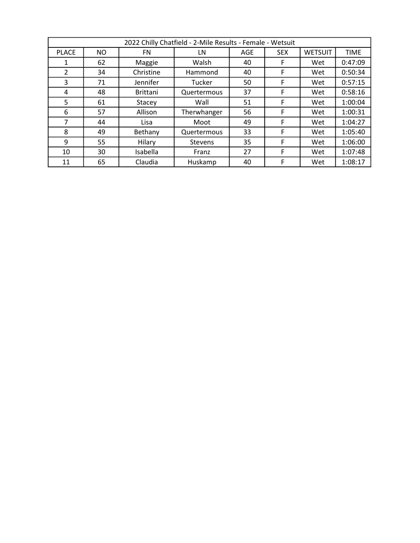| 2022 Chilly Chatfield - 2-Mile Results - Female - Wetsuit |           |                 |             |            |            |                |             |  |
|-----------------------------------------------------------|-----------|-----------------|-------------|------------|------------|----------------|-------------|--|
| <b>PLACE</b>                                              | <b>NO</b> | FN              | LN          | <b>AGE</b> | <b>SEX</b> | <b>WETSUIT</b> | <b>TIME</b> |  |
| 1                                                         | 62        | Maggie          | Walsh       | 40         | F          | Wet            | 0:47:09     |  |
| 2                                                         | 34        | Christine       | Hammond     | 40         | F          | Wet            | 0:50:34     |  |
| 3                                                         | 71        | Jennifer        | Tucker      | 50         | F          | Wet            | 0:57:15     |  |
| 4                                                         | 48        | <b>Brittani</b> | Quertermous | 37         | F          | Wet            | 0:58:16     |  |
| 5                                                         | 61        | Stacey          | Wall        | 51         | F          | Wet            | 1:00:04     |  |
| 6                                                         | 57        | Allison         | Therwhanger | 56         | F          | Wet            | 1:00:31     |  |
| 7                                                         | 44        | Lisa            | Moot        | 49         | F          | Wet            | 1:04:27     |  |
| 8                                                         | 49        | Bethany         | Quertermous | 33         | F          | Wet            | 1:05:40     |  |
| 9                                                         | 55        | Hilary          | Stevens     | 35         | F          | Wet            | 1:06:00     |  |
| 10                                                        | 30        | Isabella        | Franz       | 27         | F          | Wet            | 1:07:48     |  |
| 11                                                        | 65        | Claudia         | Huskamp     | 40         | F          | Wet            | 1:08:17     |  |